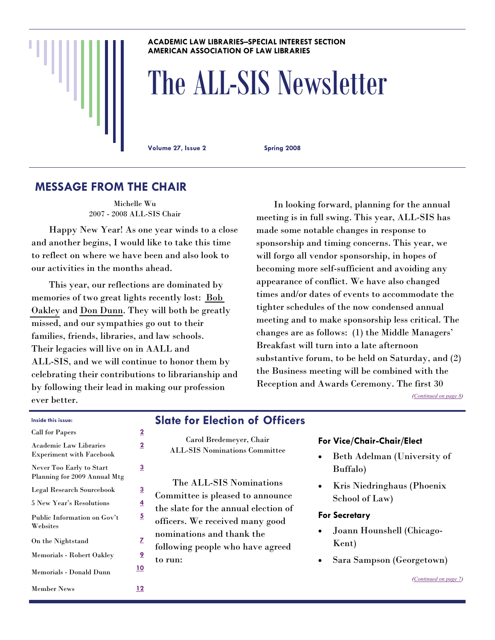#### **ACADEMIC LAW LIBRARIES–SPECIAL INTEREST SECTION AMERICAN ASSOCIATION OF LAW LIBRARIES**

# The ALL-SIS Newsletter

**Volume 27, Issue 2 Spring 2008** 

# **MESSAGE FROM THE CHAIR**

Michelle Wu 2007 - 2008 ALL-SIS Chair

 Happy New Year! As one year winds to a close and another begins, I would like to take this time to reflect on where we have been and also look to our activities in the months ahead.

 This year, our reflections are dominated by memories of two great lights recently lost: [Bob](#page-8-0)  [Oakley](#page-8-0) and [Don Dunn](#page-9-0). They will both be greatly missed, and our sympathies go out to their families, friends, libraries, and law schools. Their legacies will live on in AALL and ALL-SIS, and we will continue to honor them by celebrating their contributions to librarianship and by following their lead in making our profession ever better.

 In looking forward, planning for the annual meeting is in full swing. This year, ALL-SIS has made some notable changes in response to sponsorship and timing concerns. This year, we will forgo all vendor sponsorship, in hopes of becoming more self-sufficient and avoiding any appearance of conflict. We have also changed times and/or dates of events to accommodate the tighter schedules of the now condensed annual meeting and to make sponsorship less critical. The changes are as follows: (1) the Middle Managers' Breakfast will turn into a late afternoon substantive forum, to be held on Saturday, and (2) the Business meeting will be combined with the Reception and Awards Ceremony. The first 30

*[\(Continued on page 8\)](#page-7-0)* 

*([Continued on page 7\)](#page-6-0)* 

| Inside this issue:                                               |                         | <b>Slate for Election of Officers</b>                           |                                                           |
|------------------------------------------------------------------|-------------------------|-----------------------------------------------------------------|-----------------------------------------------------------|
| <b>Call for Papers</b>                                           | $\overline{2}$          |                                                                 |                                                           |
| <b>Academic Law Libraries</b><br><b>Experiment with Facebook</b> | $\overline{2}$          | Carol Bredemeyer, Chair<br><b>ALL-SIS Nominations Committee</b> | For Vice/Chair-Chair/Elect<br>Beth Adelman (University of |
| Never Too Early to Start<br>Planning for 2009 Annual Mtg         | 3                       |                                                                 | Buffalo)                                                  |
| Legal Research Sourcebook                                        | $\overline{3}$          | The ALL-SIS Nominations<br>Committee is pleased to announce     | Kris Niedringhaus (Phoenix                                |
| <b>5 New Year's Resolutions</b>                                  | 4                       | the slate for the annual election of                            | School of Law)                                            |
| Public Information on Gov't<br>Websites                          | $\overline{\mathbf{5}}$ | officers. We received many good                                 | <b>For Secretary</b>                                      |
| On the Nightstand                                                | z                       | nominations and thank the<br>following people who have agreed   | Joann Hounshell (Chicago-<br>Kent)                        |
| Memorials - Robert Oakley                                        | <u> 9</u>               | to run:                                                         | Sara Sampson (Georgetown)                                 |
| Memorials - Donald Dunn                                          | <u>10</u>               |                                                                 | (Continued on pa                                          |
| <b>Member News</b>                                               | <u> 12</u>              |                                                                 |                                                           |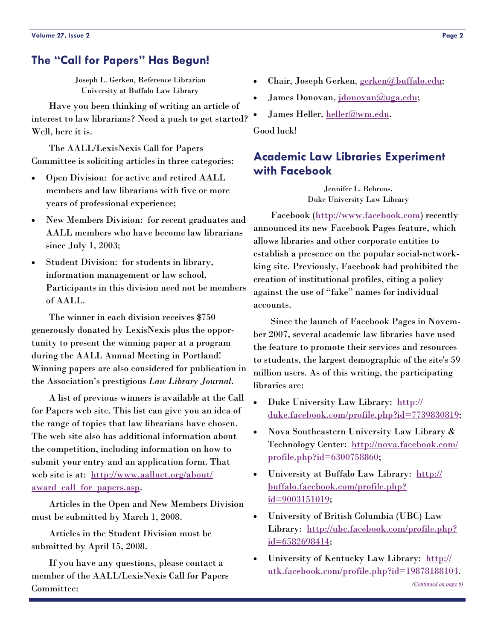# <span id="page-1-0"></span>**The "Call for Papers" Has Begun!**

Joseph L. Gerken, Reference Librarian University at Buffalo Law Library

 Have you been thinking of writing an article of interest to law librarians? Need a push to get started? Well, here it is.

 The AALL/LexisNexis Call for Papers Committee is soliciting articles in three categories:

- Open Division: for active and retired AALL members and law librarians with five or more years of professional experience;
- New Members Division: for recent graduates and AALL members who have become law librarians since July 1, 2003;
- Student Division: for students in library, information management or law school. Participants in this division need not be members of AALL.

 The winner in each division receives \$750 generously donated by LexisNexis plus the opportunity to present the winning paper at a program during the AALL Annual Meeting in Portland! Winning papers are also considered for publication in the Association's prestigious *Law Library Journal*.

 A list of previous winners is available at the Call for Papers web site. This list can give you an idea of the range of topics that law librarians have chosen. The web site also has additional information about the competition, including information on how to submit your entry and an application form. That web site is at: [http://www.aallnet.org/about/](http://www.aallnet.org/about/award_call_for_papers.asp) award call for papers.asp.

 Articles in the Open and New Members Division must be submitted by March 1, 2008.

 Articles in the Student Division must be submitted by April 15, 2008.

 If you have any questions, please contact a member of the AALL/LexisNexis Call for Papers Committee:

- Chair, Joseph Gerken, [gerken@buffalo.edu;](mailto:gerken@buffalo.edu)
- James Donovan, [jdonovan@uga.edu](mailto:jdonovan@uga.edu);
- James Heller, [heller@wm.edu.](mailto:heller@wm.edu)

Good luck!

# **Academic Law Libraries Experiment with Facebook**

Jennifer L. Behrens. Duke University Law Library

 Facebook ([http://www.facebook.com\)](http://www.facebook.com) recently announced its new Facebook Pages feature, which allows libraries and other corporate entities to establish a presence on the popular social-networkking site. Previously, Facebook had prohibited the creation of institutional profiles, citing a policy against the use of "fake" names for individual accounts.

 Since the launch of Facebook Pages in November 2007, several academic law libraries have used the feature to promote their services and resources to students, the largest demographic of the site's 59 million users. As of this writing, the participating libraries are:

- Duke University Law Library: [http://](http://duke.facebook.com/profile.php?id=7739830819) [duke.facebook.com/profile.php?id=7739830819](http://duke.facebook.com/profile.php?id=7739830819);
- Nova Southeastern University Law Library & Technology Center: [http://nova.facebook.com/](http://nova.facebook.com/profile.php?id=6300758860) [profile.php?id=6300758860](http://nova.facebook.com/profile.php?id=6300758860);
- University at Buffalo Law Library: [http://](http://buffalo.facebook.com/profile.php?id=9003151019) [buffalo.facebook.com/profile.php?](http://buffalo.facebook.com/profile.php?id=9003151019) [id=9003151019](http://buffalo.facebook.com/profile.php?id=9003151019);
- University of British Columbia (UBC) Law Library: [http://ubc.facebook.com/profile.php?](http://ubc.facebook.com/profile.php?id=6582698414) [id=6582698414](http://ubc.facebook.com/profile.php?id=6582698414);
- University of Kentucky Law Library: [http://](http://utk.facebook.com/profile.php?id=19878188104) [utk.facebook.com/profile.php?id=19878188104](http://utk.facebook.com/profile.php?id=19878188104).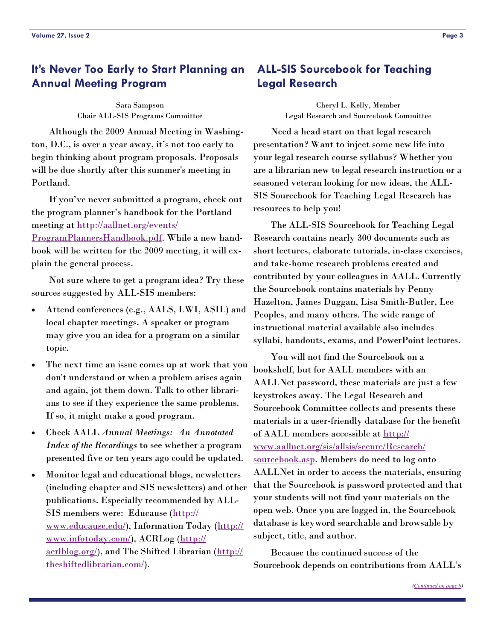# <span id="page-2-0"></span>**It's Never Too Early to Start Planning an Annual Meeting Program**

Sara Sampson Chair ALL-SIS Programs Committee

 Although the 2009 Annual Meeting in Washington, D.C., is over a year away, it's not too early to begin thinking about program proposals. Proposals will be due shortly after this summer's meeting in Portland.

 If you've never submitted a program, check out the program planner's handbook for the Portland meeting at [http://aallnet.org/events/](http://aallnet.org/events/ProgramPlannersHandbook.pdf)

[ProgramPlannersHandbook.pdf](http://aallnet.org/events/ProgramPlannersHandbook.pdf). While a new handbook will be written for the 2009 meeting, it will explain the general process.

 Not sure where to get a program idea? Try these sources suggested by ALL-SIS members:

- Attend conferences (e.g., AALS, LWI, ASIL) and local chapter meetings. A speaker or program may give you an idea for a program on a similar topic.
- The next time an issue comes up at work that you don't understand or when a problem arises again and again, jot them down. Talk to other librarians to see if they experience the same problems. If so, it might make a good program.
- Check AALL *Annual Meetings: An Annotated Index of the Recordings* to see whether a program presented five or ten years ago could be updated.
- Monitor legal and educational blogs, newsletters (including chapter and SIS newsletters) and other publications. Especially recommended by ALL-SIS members were: Educause ([http://](http://www.educause.edu/) [www.educause.edu/](http://www.educause.edu/)), Information Today ([http://](http://www.infotoday.com/) [www.infotoday.com/](http://www.infotoday.com/)), ACRLog ([http://](http://acrlblog.org/) [acrlblog.org/](http://acrlblog.org/)), and The Shifted Librarian ([http://](http://theshiftedlibrarian.com/) [theshiftedlibrarian.com/](http://theshiftedlibrarian.com/)).

# **ALL-SIS Sourcebook for Teaching Legal Research**

Cheryl L. Kelly, Member Legal Research and Sourcebook Committee

 Need a head start on that legal research presentation? Want to inject some new life into your legal research course syllabus? Whether you are a librarian new to legal research instruction or a seasoned veteran looking for new ideas, the ALL-SIS Sourcebook for Teaching Legal Research has resources to help you!

 The ALL-SIS Sourcebook for Teaching Legal Research contains nearly 300 documents such as short lectures, elaborate tutorials, in-class exercises, and take-home research problems created and contributed by your colleagues in AALL. Currently the Sourcebook contains materials by Penny Hazelton, James Duggan, Lisa Smith-Butler, Lee Peoples, and many others. The wide range of instructional material available also includes syllabi, handouts, exams, and PowerPoint lectures.

 You will not find the Sourcebook on a bookshelf, but for AALL members with an AALLNet password, these materials are just a few keystrokes away. The Legal Research and Sourcebook Committee collects and presents these materials in a user-friendly database for the benefit of AALL members accessible at [http://](http://www.aallnet.org/sis/allsis/secure/Research/sourcebook.asp) [www.aallnet.org/sis/allsis/secure/Research/](http://www.aallnet.org/sis/allsis/secure/Research/sourcebook.asp) [sourcebook.asp.](http://www.aallnet.org/sis/allsis/secure/Research/sourcebook.asp) Members do need to log onto AALLNet in order to access the materials, ensuring that the Sourcebook is password protected and that your students will not find your materials on the open web. Once you are logged in, the Sourcebook database is keyword searchable and browsable by subject, title, and author.

 Because the continued success of the Sourcebook depends on contributions from AALL's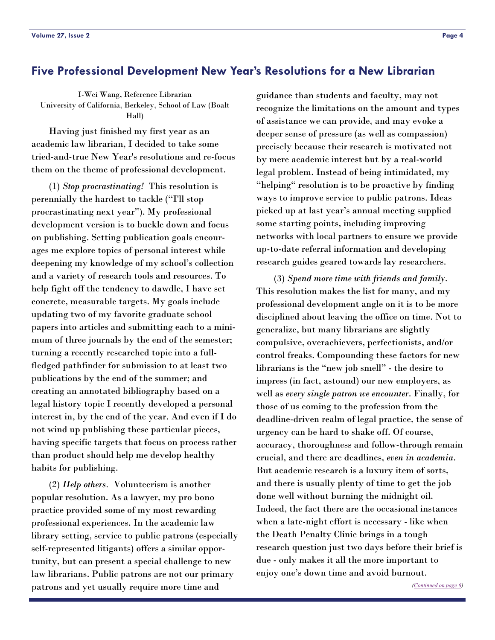# <span id="page-3-0"></span>**Five Professional Development New Year's Resolutions for a New Librarian**

I-Wei Wang, Reference Librarian University of California, Berkeley, School of Law (Boalt Hall)

 Having just finished my first year as an academic law librarian, I decided to take some tried-and-true New Year's resolutions and re-focus them on the theme of professional development.

 (1) *Stop procrastinating!* This resolution is perennially the hardest to tackle ("I'll stop procrastinating next year"). My professional development version is to buckle down and focus on publishing. Setting publication goals encourages me explore topics of personal interest while deepening my knowledge of my school's collection and a variety of research tools and resources. To help fight off the tendency to dawdle, I have set concrete, measurable targets. My goals include updating two of my favorite graduate school papers into articles and submitting each to a minimum of three journals by the end of the semester; turning a recently researched topic into a fullfledged pathfinder for submission to at least two publications by the end of the summer; and creating an annotated bibliography based on a legal history topic I recently developed a personal interest in, by the end of the year. And even if I do not wind up publishing these particular pieces, having specific targets that focus on process rather than product should help me develop healthy habits for publishing.

 (2) *Help others.* Volunteerism is another popular resolution. As a lawyer, my pro bono practice provided some of my most rewarding professional experiences. In the academic law library setting, service to public patrons (especially self-represented litigants) offers a similar opportunity, but can present a special challenge to new law librarians. Public patrons are not our primary patrons and yet usually require more time and

guidance than students and faculty, may not recognize the limitations on the amount and types of assistance we can provide, and may evoke a deeper sense of pressure (as well as compassion) precisely because their research is motivated not by mere academic interest but by a real-world legal problem. Instead of being intimidated, my "helping" resolution is to be proactive by finding ways to improve service to public patrons. Ideas picked up at last year's annual meeting supplied some starting points, including improving networks with local partners to ensure we provide up-to-date referral information and developing research guides geared towards lay researchers.

 (3) *Spend more time with friends and family.* This resolution makes the list for many, and my professional development angle on it is to be more disciplined about leaving the office on time. Not to generalize, but many librarians are slightly compulsive, overachievers, perfectionists, and/or control freaks. Compounding these factors for new librarians is the "new job smell" - the desire to impress (in fact, astound) our new employers, as well as *every single patron we encounter*. Finally, for those of us coming to the profession from the deadline-driven realm of legal practice, the sense of urgency can be hard to shake off. Of course, accuracy, thoroughness and follow-through remain crucial, and there are deadlines, *even in academia*. But academic research is a luxury item of sorts, and there is usually plenty of time to get the job done well without burning the midnight oil. Indeed, the fact there are the occasional instances when a late-night effort is necessary - like when the Death Penalty Clinic brings in a tough research question just two days before their brief is due - only makes it all the more important to enjoy one's down time and avoid burnout.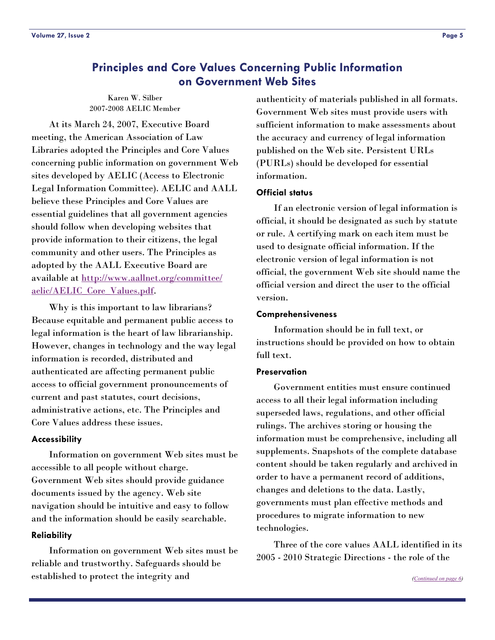# <span id="page-4-0"></span>**Principles and Core Values Concerning Public Information on Government Web Sites**

Karen W. Silber 2007-2008 AELIC Member

 At its March 24, 2007, Executive Board meeting, the American Association of Law Libraries adopted the Principles and Core Values concerning public information on government Web sites developed by AELIC (Access to Electronic Legal Information Committee). AELIC and AALL believe these Principles and Core Values are essential guidelines that all government agencies should follow when developing websites that provide information to their citizens, the legal community and other users. The Principles as adopted by the AALL Executive Board are available at [http://www.aallnet.org/committee/](http://www.aallnet.org/committee/aelic/AELIC_Core_Values.pdf) [aelic/AELIC\\_Core\\_Values.pdf](http://www.aallnet.org/committee/aelic/AELIC_Core_Values.pdf).

 Why is this important to law librarians? Because equitable and permanent public access to legal information is the heart of law librarianship. However, changes in technology and the way legal information is recorded, distributed and authenticated are affecting permanent public access to official government pronouncements of current and past statutes, court decisions, administrative actions, etc. The Principles and Core Values address these issues.

#### **Accessibility**

 Information on government Web sites must be accessible to all people without charge. Government Web sites should provide guidance documents issued by the agency. Web site navigation should be intuitive and easy to follow and the information should be easily searchable.

#### **Reliability**

 Information on government Web sites must be reliable and trustworthy. Safeguards should be established to protect the integrity and

authenticity of materials published in all formats. Government Web sites must provide users with sufficient information to make assessments about the accuracy and currency of legal information published on the Web site. Persistent URLs (PURLs) should be developed for essential information.

#### **Official status**

 If an electronic version of legal information is official, it should be designated as such by statute or rule. A certifying mark on each item must be used to designate official information. If the electronic version of legal information is not official, the government Web site should name the official version and direct the user to the official version.

#### **Comprehensiveness**

 Information should be in full text, or instructions should be provided on how to obtain full text.

#### **Preservation**

 Government entities must ensure continued access to all their legal information including superseded laws, regulations, and other official rulings. The archives storing or housing the information must be comprehensive, including all supplements. Snapshots of the complete database content should be taken regularly and archived in order to have a permanent record of additions, changes and deletions to the data. Lastly, governments must plan effective methods and procedures to migrate information to new technologies.

 Three of the core values AALL identified in its 2005 - 2010 Strategic Directions - the role of the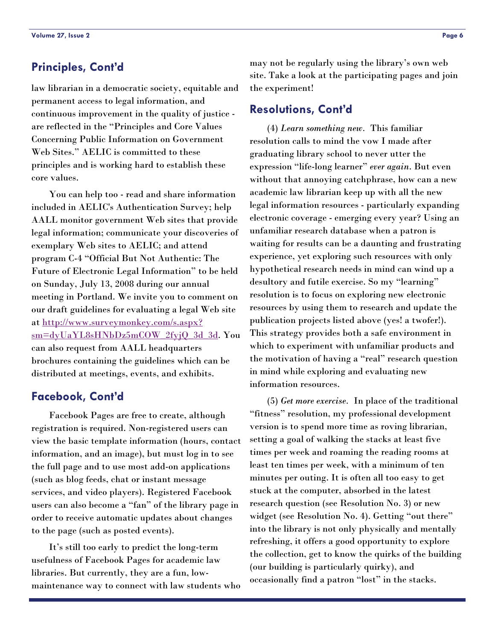# <span id="page-5-0"></span>**Principles, Cont'd**

law librarian in a democratic society, equitable and permanent access to legal information, and continuous improvement in the quality of justice are reflected in the "Principles and Core Values Concerning Public Information on Government Web Sites." AELIC is committed to these principles and is working hard to establish these core values.

 You can help too - read and share information included in AELIC's Authentication Survey; help AALL monitor government Web sites that provide legal information; communicate your discoveries of exemplary Web sites to AELIC; and attend program C-4 "Official But Not Authentic: The Future of Electronic Legal Information" to be held on Sunday, July 13, 2008 during our annual meeting in Portland. We invite you to comment on our draft guidelines for evaluating a legal Web site at [http://www.surveymonkey.com/s.aspx?](http://www.surveymonkey.com/s.aspx?sm=dyUaYL8sHNbDz5mCOW_2fyjQ_3d_3d) [sm=dyUaYL8sHNbDz5mCOW\\_2fyjQ\\_3d\\_3d](http://www.surveymonkey.com/s.aspx?sm=dyUaYL8sHNbDz5mCOW_2fyjQ_3d_3d). You can also request from AALL headquarters brochures containing the guidelines which can be distributed at meetings, events, and exhibits.

#### **Facebook, Cont'd**

 Facebook Pages are free to create, although registration is required. Non-registered users can view the basic template information (hours, contact information, and an image), but must log in to see the full page and to use most add-on applications (such as blog feeds, chat or instant message services, and video players). Registered Facebook users can also become a "fan" of the library page in order to receive automatic updates about changes to the page (such as posted events).

 It's still too early to predict the long-term usefulness of Facebook Pages for academic law libraries. But currently, they are a fun, lowmaintenance way to connect with law students who may not be regularly using the library's own web site. Take a look at the participating pages and join the experiment!

#### **Resolutions, Cont'd**

 (4) *Learn something new.* This familiar resolution calls to mind the vow I made after graduating library school to never utter the expression "life-long learner" *ever again*. But even without that annoying catchphrase, how can a new academic law librarian keep up with all the new legal information resources - particularly expanding electronic coverage - emerging every year? Using an unfamiliar research database when a patron is waiting for results can be a daunting and frustrating experience, yet exploring such resources with only hypothetical research needs in mind can wind up a desultory and futile exercise. So my "learning" resolution is to focus on exploring new electronic resources by using them to research and update the publication projects listed above (yes! a twofer!). This strategy provides both a safe environment in which to experiment with unfamiliar products and the motivation of having a "real" research question in mind while exploring and evaluating new information resources.

 (5) *Get more exercise.* In place of the traditional "fitness" resolution, my professional development version is to spend more time as roving librarian, setting a goal of walking the stacks at least five times per week and roaming the reading rooms at least ten times per week, with a minimum of ten minutes per outing. It is often all too easy to get stuck at the computer, absorbed in the latest research question (see Resolution No. 3) or new widget (see Resolution No. 4). Getting "out there" into the library is not only physically and mentally refreshing, it offers a good opportunity to explore the collection, get to know the quirks of the building (our building is particularly quirky), and occasionally find a patron "lost" in the stacks.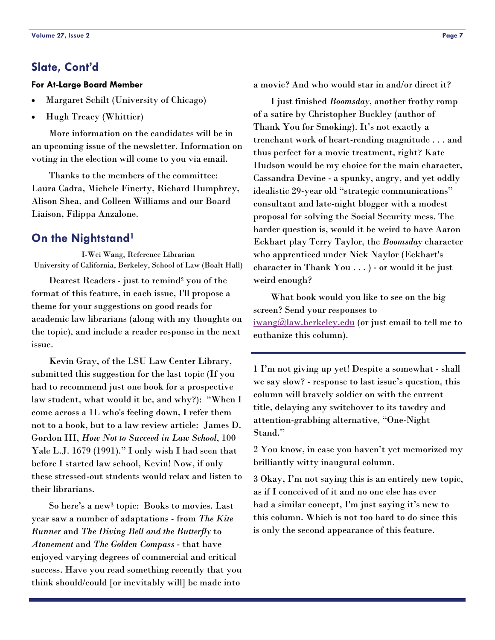## <span id="page-6-0"></span>**Slate, Cont'd**

#### **For At-Large Board Member**

- Margaret Schilt (University of Chicago)
- Hugh Treacy (Whittier)

 More information on the candidates will be in an upcoming issue of the newsletter. Information on voting in the election will come to you via email.

 Thanks to the members of the committee: Laura Cadra, Michele Finerty, Richard Humphrey, Alison Shea, and Colleen Williams and our Board Liaison, Filippa Anzalone.

#### **On the Nightstand1**

I-Wei Wang, Reference Librarian University of California, Berkeley, School of Law (Boalt Hall)

 Dearest Readers - just to remind2 you of the format of this feature, in each issue, I'll propose a theme for your suggestions on good reads for academic law librarians (along with my thoughts on the topic), and include a reader response in the next issue.

 Kevin Gray, of the LSU Law Center Library, submitted this suggestion for the last topic (If you had to recommend just one book for a prospective law student, what would it be, and why?): "When I come across a 1L who's feeling down, I refer them not to a book, but to a law review article: James D. Gordon III, *How Not to Succeed in Law School*, 100 Yale L.J. 1679 (1991)." I only wish I had seen that before I started law school, Kevin! Now, if only these stressed-out students would relax and listen to their librarians.

 So here's a new3 topic: Books to movies. Last year saw a number of adaptations - from *The Kite Runner* and *The Diving Bell and the Butterfly* to *Atonement* and *The Golden Compass* - that have enjoyed varying degrees of commercial and critical success. Have you read something recently that you think should/could [or inevitably will] be made into

a movie? And who would star in and/or direct it?

 I just finished *Boomsday*, another frothy romp of a satire by Christopher Buckley (author of Thank You for Smoking). It's not exactly a trenchant work of heart-rending magnitude . . . and thus perfect for a movie treatment, right? Kate Hudson would be my choice for the main character, Cassandra Devine - a spunky, angry, and yet oddly idealistic 29-year old "strategic communications" consultant and late-night blogger with a modest proposal for solving the Social Security mess. The harder question is, would it be weird to have Aaron Eckhart play Terry Taylor, the *Boomsday* character who apprenticed under Nick Naylor (Eckhart's character in Thank You . . . ) - or would it be just weird enough?

 What book would you like to see on the big screen? Send your responses to [iwang@law.berkeley.edu](mailto:iwang@law.berkeley.edu) (or just email to tell me to euthanize this column).

1 I'm not giving up yet! Despite a somewhat - shall we say slow? - response to last issue's question, this column will bravely soldier on with the current title, delaying any switchover to its tawdry and attention-grabbing alternative, "One-Night Stand."

2 You know, in case you haven't yet memorized my brilliantly witty inaugural column.

3 Okay, I'm not saying this is an entirely new topic, as if I conceived of it and no one else has ever had a similar concept, I'm just saying it's new to this column. Which is not too hard to do since this is only the second appearance of this feature.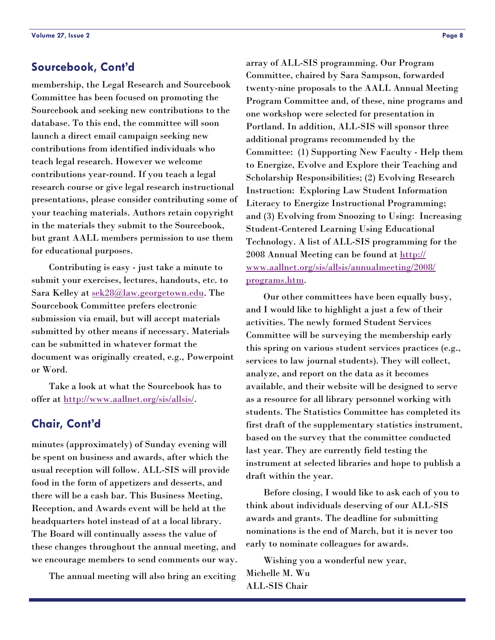### <span id="page-7-0"></span>**Sourcebook, Cont'd**

membership, the Legal Research and Sourcebook Committee has been focused on promoting the Sourcebook and seeking new contributions to the database. To this end, the committee will soon launch a direct email campaign seeking new contributions from identified individuals who teach legal research. However we welcome contributions year-round. If you teach a legal research course or give legal research instructional presentations, please consider contributing some of your teaching materials. Authors retain copyright in the materials they submit to the Sourcebook, but grant AALL members permission to use them for educational purposes.

 Contributing is easy - just take a minute to submit your exercises, lectures, handouts, etc. to Sara Kelley at [sek28@law.georgetown.edu.](mailto:sek28@law.georgetown.edu) The Sourcebook Committee prefers electronic submission via email, but will accept materials submitted by other means if necessary. Materials can be submitted in whatever format the document was originally created, e.g., Powerpoint or Word.

 Take a look at what the Sourcebook has to offer at <http://www.aallnet.org/sis/allsis/>.

# **Chair, Cont'd**

minutes (approximately) of Sunday evening will be spent on business and awards, after which the usual reception will follow. ALL-SIS will provide food in the form of appetizers and desserts, and there will be a cash bar. This Business Meeting, Reception, and Awards event will be held at the headquarters hotel instead of at a local library. The Board will continually assess the value of these changes throughout the annual meeting, and we encourage members to send comments our way.

The annual meeting will also bring an exciting

array of ALL-SIS programming. Our Program Committee, chaired by Sara Sampson, forwarded twenty-nine proposals to the AALL Annual Meeting Program Committee and, of these, nine programs and one workshop were selected for presentation in Portland. In addition, ALL-SIS will sponsor three additional programs recommended by the Committee: (1) Supporting New Faculty - Help them to Energize, Evolve and Explore their Teaching and Scholarship Responsibilities; (2) Evolving Research Instruction: Exploring Law Student Information Literacy to Energize Instructional Programming; and (3) Evolving from Snoozing to Using: Increasing Student-Centered Learning Using Educational Technology. A list of ALL-SIS programming for the 2008 Annual Meeting can be found at [http://](http://www.aallnet.org/sis/allsis/annualmeeting/2008/programs.htm) [www.aallnet.org/sis/allsis/annualmeeting/2008/](http://www.aallnet.org/sis/allsis/annualmeeting/2008/programs.htm) [programs.htm.](http://www.aallnet.org/sis/allsis/annualmeeting/2008/programs.htm)

 Our other committees have been equally busy, and I would like to highlight a just a few of their activities. The newly formed Student Services Committee will be surveying the membership early this spring on various student services practices (e.g., services to law journal students). They will collect, analyze, and report on the data as it becomes available, and their website will be designed to serve as a resource for all library personnel working with students. The Statistics Committee has completed its first draft of the supplementary statistics instrument, based on the survey that the committee conducted last year. They are currently field testing the instrument at selected libraries and hope to publish a draft within the year.

 Before closing, I would like to ask each of you to think about individuals deserving of our ALL-SIS awards and grants. The deadline for submitting nominations is the end of March, but it is never too early to nominate colleagues for awards.

 Wishing you a wonderful new year, Michelle M. Wu ALL-SIS Chair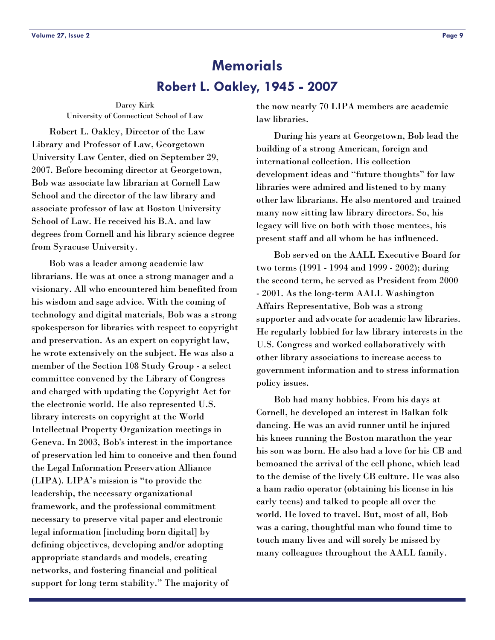# **Robert L. Oakley, 1945 - 2007 Memorials**

<span id="page-8-0"></span>Darcy Kirk University of Connecticut School of Law

 Robert L. Oakley, Director of the Law Library and Professor of Law, Georgetown University Law Center, died on September 29, 2007. Before becoming director at Georgetown, Bob was associate law librarian at Cornell Law School and the director of the law library and associate professor of law at Boston University School of Law. He received his B.A. and law degrees from Cornell and his library science degree from Syracuse University.

 Bob was a leader among academic law librarians. He was at once a strong manager and a visionary. All who encountered him benefited from his wisdom and sage advice. With the coming of technology and digital materials, Bob was a strong spokesperson for libraries with respect to copyright and preservation. As an expert on copyright law, he wrote extensively on the subject. He was also a member of the Section 108 Study Group - a select committee convened by the Library of Congress and charged with updating the Copyright Act for the electronic world. He also represented U.S. library interests on copyright at the World Intellectual Property Organization meetings in Geneva. In 2003, Bob's interest in the importance of preservation led him to conceive and then found the Legal Information Preservation Alliance (LIPA). LIPA's mission is "to provide the leadership, the necessary organizational framework, and the professional commitment necessary to preserve vital paper and electronic legal information [including born digital] by defining objectives, developing and/or adopting appropriate standards and models, creating networks, and fostering financial and political support for long term stability." The majority of

the now nearly 70 LIPA members are academic law libraries.

 During his years at Georgetown, Bob lead the building of a strong American, foreign and international collection. His collection development ideas and "future thoughts" for law libraries were admired and listened to by many other law librarians. He also mentored and trained many now sitting law library directors. So, his legacy will live on both with those mentees, his present staff and all whom he has influenced.

 Bob served on the AALL Executive Board for two terms (1991 - 1994 and 1999 - 2002); during the second term, he served as President from 2000 - 2001. As the long-term AALL Washington Affairs Representative, Bob was a strong supporter and advocate for academic law libraries. He regularly lobbied for law library interests in the U.S. Congress and worked collaboratively with other library associations to increase access to government information and to stress information policy issues.

 Bob had many hobbies. From his days at Cornell, he developed an interest in Balkan folk dancing. He was an avid runner until he injured his knees running the Boston marathon the year his son was born. He also had a love for his CB and bemoaned the arrival of the cell phone, which lead to the demise of the lively CB culture. He was also a ham radio operator (obtaining his license in his early teens) and talked to people all over the world. He loved to travel. But, most of all, Bob was a caring, thoughtful man who found time to touch many lives and will sorely be missed by many colleagues throughout the AALL family.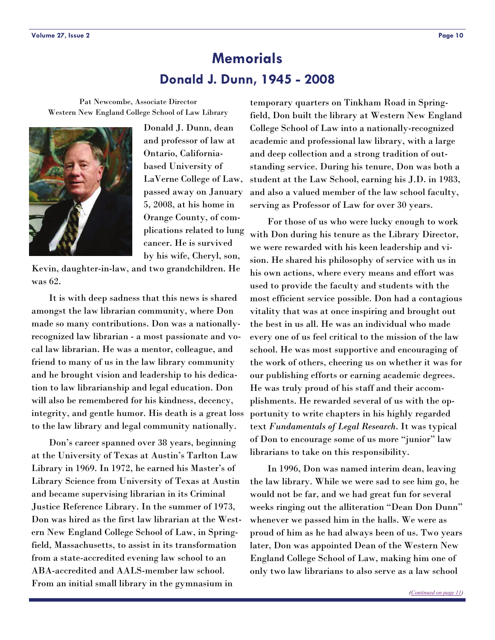# **Donald J. Dunn, 1945 - 2008 Memorials**

<span id="page-9-0"></span>Pat Newcombe, Associate Director Western New England College School of Law Library



Donald J. Dunn, dean and professor of law at Ontario, Californiabased University of LaVerne College of Law, passed away on January 5, 2008, at his home in Orange County, of complications related to lung cancer. He is survived by his wife, Cheryl, son,

Kevin, daughter-in-law, and two grandchildren. He was 62.

 It is with deep sadness that this news is shared amongst the law librarian community, where Don made so many contributions. Don was a nationallyrecognized law librarian - a most passionate and vocal law librarian. He was a mentor, colleague, and friend to many of us in the law library community and he brought vision and leadership to his dedication to law librarianship and legal education. Don will also be remembered for his kindness, decency, integrity, and gentle humor. His death is a great loss to the law library and legal community nationally.

 Don's career spanned over 38 years, beginning at the University of Texas at Austin's Tarlton Law Library in 1969. In 1972, he earned his Master's of Library Science from University of Texas at Austin and became supervising librarian in its Criminal Justice Reference Library. In the summer of 1973, Don was hired as the first law librarian at the Western New England College School of Law, in Springfield, Massachusetts, to assist in its transformation from a state-accredited evening law school to an ABA-accredited and AALS-member law school. From an initial small library in the gymnasium in

temporary quarters on Tinkham Road in Springfield, Don built the library at Western New England College School of Law into a nationally-recognized academic and professional law library, with a large and deep collection and a strong tradition of outstanding service. During his tenure, Don was both a student at the Law School, earning his J.D. in 1983, and also a valued member of the law school faculty, serving as Professor of Law for over 30 years.

 For those of us who were lucky enough to work with Don during his tenure as the Library Director, we were rewarded with his keen leadership and vision. He shared his philosophy of service with us in his own actions, where every means and effort was used to provide the faculty and students with the most efficient service possible. Don had a contagious vitality that was at once inspiring and brought out the best in us all. He was an individual who made every one of us feel critical to the mission of the law school. He was most supportive and encouraging of the work of others, cheering us on whether it was for our publishing efforts or earning academic degrees. He was truly proud of his staff and their accomplishments. He rewarded several of us with the opportunity to write chapters in his highly regarded text *Fundamentals of Legal Research*. It was typical of Don to encourage some of us more "junior" law librarians to take on this responsibility.

 In 1996, Don was named interim dean, leaving the law library. While we were sad to see him go, he would not be far, and we had great fun for several weeks ringing out the alliteration "Dean Don Dunn" whenever we passed him in the halls. We were as proud of him as he had always been of us. Two years later, Don was appointed Dean of the Western New England College School of Law, making him one of only two law librarians to also serve as a law school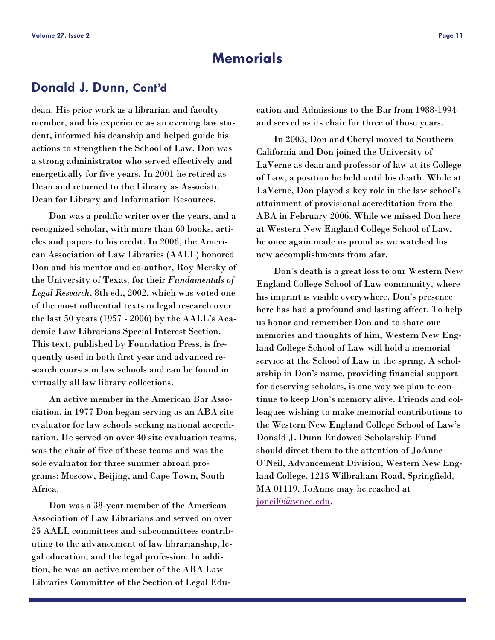# **Memorials**

# <span id="page-10-0"></span>**Donald J. Dunn, Cont'd**

dean. His prior work as a librarian and faculty member, and his experience as an evening law student, informed his deanship and helped guide his actions to strengthen the School of Law. Don was a strong administrator who served effectively and energetically for five years. In 2001 he retired as Dean and returned to the Library as Associate Dean for Library and Information Resources.

 Don was a prolific writer over the years, and a recognized scholar, with more than 60 books, articles and papers to his credit. In 2006, the American Association of Law Libraries (AALL) honored Don and his mentor and co-author, Roy Mersky of the University of Texas, for their *Fundamentals of Legal Research*, 8th ed., 2002, which was voted one of the most influential texts in legal research over the last 50 years (1957 - 2006) by the AALL's Academic Law Librarians Special Interest Section. This text, published by Foundation Press, is frequently used in both first year and advanced research courses in law schools and can be found in virtually all law library collections.

 An active member in the American Bar Association, in 1977 Don began serving as an ABA site evaluator for law schools seeking national accreditation. He served on over 40 site evaluation teams, was the chair of five of these teams and was the sole evaluator for three summer abroad programs: Moscow, Beijing, and Cape Town, South Africa.

 Don was a 38-year member of the American Association of Law Librarians and served on over 25 AALL committees and subcommittees contributing to the advancement of law librarianship, legal education, and the legal profession. In addition, he was an active member of the ABA Law Libraries Committee of the Section of Legal Education and Admissions to the Bar from 1988-1994 and served as its chair for three of those years.

 In 2003, Don and Cheryl moved to Southern California and Don joined the University of LaVerne as dean and professor of law at its College of Law, a position he held until his death. While at LaVerne, Don played a key role in the law school's attainment of provisional accreditation from the ABA in February 2006. While we missed Don here at Western New England College School of Law, he once again made us proud as we watched his new accomplishments from afar.

 Don's death is a great loss to our Western New England College School of Law community, where his imprint is visible everywhere. Don's presence here has had a profound and lasting affect. To help us honor and remember Don and to share our memories and thoughts of him, Western New England College School of Law will hold a memorial service at the School of Law in the spring. A scholarship in Don's name, providing financial support for deserving scholars, is one way we plan to continue to keep Don's memory alive. Friends and colleagues wishing to make memorial contributions to the Western New England College School of Law's Donald J. Dunn Endowed Scholarship Fund should direct them to the attention of JoAnne O'Neil, Advancement Division, Western New England College, 1215 Wilbraham Road, Springfield, MA 01119. JoAnne may be reached at [joneil0@wnec.edu](mailto:joneil0@wnec.edu).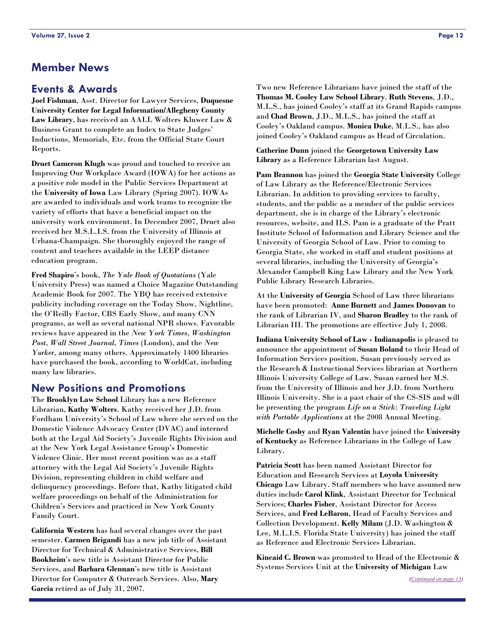# <span id="page-11-0"></span>**Member News**

#### **Events & Awards**

**Joel Fishman**, Asst. Director for Lawyer Services, **Duquesne University Center for Legal Information/Allegheny County Law Library**, has received an AALL Wolters Kluwer Law & Business Grant to complete an Index to State Judges' Inductions, Memorials, Etc. from the Official State Court Reports.

**Druet Cameron Klugh** was proud and touched to receive an Improving Our Workplace Award (IOWA) for her actions as a positive role model in the Public Services Department at the **University of Iowa** Law Library (Spring 2007). IOWAs are awarded to individuals and work teams to recognize the variety of efforts that have a beneficial impact on the university work environment. In December 2007, Druet also received her M.S.L.I.S. from the University of Illinois at Urbana-Champaign. She thoroughly enjoyed the range of content and teachers available in the LEEP distance education program.

**Fred Shapiro**'s book, *The Yale Book of Quotations* (Yale University Press) was named a Choice Magazine Outstanding Academic Book for 2007. The YBQ has received extensive publicity including coverage on the Today Show, Nightline, the O'Reilly Factor, CBS Early Show, and many CNN programs, as well as several national NPR shows. Favorable reviews have appeared in the *New York Times*, *Washington Post*, *Wall Street Journal*, *Times* (London), and the *New Yorker*, among many others. Approximately 1400 libraries have purchased the book, according to WorldCat, including many law libraries.

#### **New Positions and Promotions**

The **Brooklyn Law School** Library has a new Reference Librarian, **Kathy Wolters**. Kathy received her J.D. from Fordham University's School of Law where she served on the Domestic Violence Advocacy Center (DVAC) and interned both at the Legal Aid Society's Juvenile Rights Division and at the New York Legal Assistance Group's Domestic Violence Clinic. Her most recent position was as a staff attorney with the Legal Aid Society's Juvenile Rights Division, representing children in child welfare and delinquency proceedings. Before that, Kathy litigated child welfare proceedings on behalf of the Administration for Children's Services and practiced in New York County Family Court.

**California Western** has had several changes over the past semester. **Carmen Brigandi** has a new job title of Assistant Director for Technical & Administrative Services, **Bill Bookheim**'s new title is Assistant Director for Public Services, and **Barbara Glennan**'s new title is Assistant Director for Computer & Outreach Services. Also, **Mary Garcia** retired as of July 31, 2007.

Two new Reference Librarians have joined the staff of the **Thomas M. Cooley Law School Library**. **Ruth Stevens**, J.D., M.L.S., has joined Cooley's staff at its Grand Rapids campus and **Chad Brown**, J.D., M.L.S., has joined the staff at Cooley's Oakland campus. **Monica Duke**, M.L.S., has also joined Cooley's Oakland campus as Head of Circulation.

**Catherine Dunn** joined the **Georgetown University Law Library** as a Reference Librarian last August.

**Pam Brannon** has joined the **Georgia State University** College of Law Library as the Reference/Electronic Services Librarian. In addition to providing services to faculty, students, and the public as a member of the public services department, she is in charge of the Library's electronic resources, website, and ILS. Pam is a graduate of the Pratt Institute School of Information and Library Science and the University of Georgia School of Law. Prior to coming to Georgia State, she worked in staff and student positions at several libraries, including the University of Georgia's Alexander Campbell King Law Library and the New York Public Library Research Libraries.

At the **University of Georgia** School of Law three librarians have been promoted: **Anne Burnett** and **James Donovan** to the rank of Librarian IV, and **Sharon Bradley** to the rank of Librarian III. The promotions are effective July 1, 2008.

**Indiana University School of Law - Indianapolis** is pleased to announce the appointment of **Susan Boland** to their Head of Information Services position. Susan previously served as the Research & Instructional Services librarian at Northern Illinois University College of Law. Susan earned her M.S. from the University of Illinois and her J.D. from Northern Illinois University. She is a past chair of the CS-SIS and will be presenting the program *Life on a Stick: Traveling Light with Portable Applications* at the 2008 Annual Meeting.

**Michelle Cosby** and **Ryan Valentin** have joined the **University of Kentucky** as Reference Librarians in the College of Law Library.

**Patricia Scott** has been named Assistant Director for Education and Research Services at **Loyola University Chicago** Law Library. Staff members who have assumed new duties include **Carol Klink**, Assistant Director for Technical Services; **Charles Fisher**, Assistant Director for Access Services, and **Fred LeBaron**, Head of Faculty Services and Collection Development. **Kelly Milam** (J.D. Washington & Lee, M.L.I.S. Florida State University) has joined the staff as Reference and Electronic Services Librarian.

**Kincaid C. Brown** was promoted to Head of the Electronic & Systems Services Unit at the **University of Michigan** Law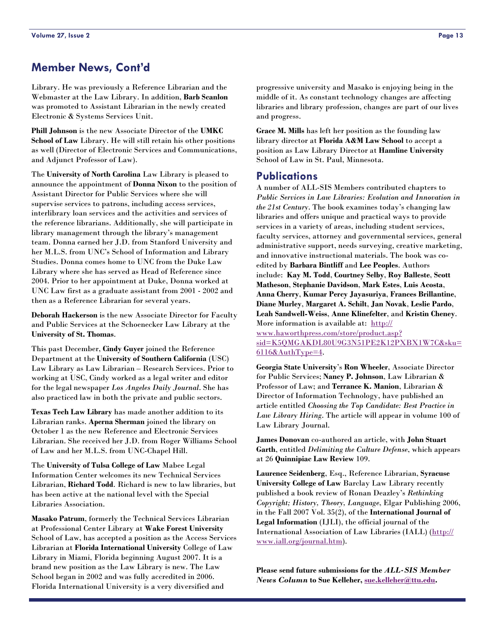# <span id="page-12-0"></span>**Member News, Cont'd**

Library. He was previously a Reference Librarian and the Webmaster at the Law Library. In addition, **Barb Scanlon** was promoted to Assistant Librarian in the newly created Electronic & Systems Services Unit.

**Phill Johnson** is the new Associate Director of the **UMKC School of Law** Library. He will still retain his other positions as well (Director of Electronic Services and Communications, and Adjunct Professor of Law).

The **University of North Carolina** Law Library is pleased to announce the appointment of **Donna Nixon** to the position of Assistant Director for Public Services where she will supervise services to patrons, including access services, interlibrary loan services and the activities and services of the reference librarians. Additionally, she will participate in library management through the library's management team. Donna earned her J.D. from Stanford University and her M.L.S. from UNC's School of Information and Library Studies. Donna comes home to UNC from the Duke Law Library where she has served as Head of Reference since 2004. Prior to her appointment at Duke, Donna worked at UNC Law first as a graduate assistant from 2001 - 2002 and then as a Reference Librarian for several years.

**Deborah Hackerson** is the new Associate Director for Faculty and Public Services at the Schoenecker Law Library at the **University of St. Thomas**.

This past December, **Cindy Guyer** joined the Reference Department at the **University of Southern California** (USC) Law Library as Law Librarian – Research Services. Prior to working at USC, Cindy worked as a legal writer and editor for the legal newspaper *Los Angeles Daily Journal*. She has also practiced law in both the private and public sectors.

**Texas Tech Law Library** has made another addition to its Librarian ranks. **Aperna Sherman** joined the library on October 1 as the new Reference and Electronic Services Librarian. She received her J.D. from Roger Williams School of Law and her M.L.S. from UNC-Chapel Hill.

The **University of Tulsa College of Law** Mabee Legal Information Center welcomes its new Technical Services Librarian, **Richard Todd**. Richard is new to law libraries, but has been active at the national level with the Special Libraries Association.

**Masako Patrum**, formerly the Technical Services Librarian at Professional Center Library at **Wake Forest University** School of Law, has accepted a position as the Access Services Librarian at **Florida International University** College of Law Library in Miami, Florida beginning August 2007. It is a brand new position as the Law Library is new. The Law School began in 2002 and was fully accredited in 2006. Florida International University is a very diversified and

progressive university and Masako is enjoying being in the middle of it. As constant technology changes are affecting libraries and library profession, changes are part of our lives and progress.

**Grace M. Mills** has left her position as the founding law library director at **Florida A&M Law School** to accept a position as Law Library Director at **Hamline University** School of Law in St. Paul, Minnesota.

#### **Publications**

A number of ALL-SIS Members contributed chapters to *Public Services in Law Libraries: Evolution and Innovation in the 21st Century*. The book examines today's changing law libraries and offers unique and practical ways to provide services in a variety of areas, including student services, faculty services, attorney and governmental services, general administrative support, needs surveying, creative marketing, and innovative instructional materials. The book was coedited by **Barbara Bintliff** and **Lee Peoples**. Authors include: **Kay M. Todd**, **Courtney Selby**, **Roy Balleste**, **Scott Matheson**, **Stephanie Davidson**, **Mark Estes**, **Luis Acosta**, **Anna Cherry**, **Kumar Percy Jayasuriya**, **Frances Brillantine**, **Diane Murley**, **Margaret A. Schilt**, **Jan Novak**, **Leslie Pardo**, **Leah Sandwell-Weiss**, **Anne Klinefelter**, and **Kristin Cheney**. More information is available at: [http://](http://www.haworthpress.com/store/product.asp?sid=K5QMGAKDL80U9G3N51PE2K12PXBX1W7C&sku=6116&AuthType=4) [www.haworthpress.com/store/product.asp?](http://www.haworthpress.com/store/product.asp?sid=K5QMGAKDL80U9G3N51PE2K12PXBX1W7C&sku=6116&AuthType=4)

[sid=K5QMGAKDL80U9G3N51PE2K12PXBX1W7C&sku=](http://www.haworthpress.com/store/product.asp?sid=K5QMGAKDL80U9G3N51PE2K12PXBX1W7C&sku=6116&AuthType=4) [6116&AuthType=4](http://www.haworthpress.com/store/product.asp?sid=K5QMGAKDL80U9G3N51PE2K12PXBX1W7C&sku=6116&AuthType=4).

**Georgia State University**'s **Ron Wheeler**, Associate Director for Public Services; **Nancy P. Johnson**, Law Librarian & Professor of Law; and **Terrance K. Manion**, Librarian & Director of Information Technology, have published an article entitled *Choosing the Top Candidate: Best Practice in Law Library Hiring*. The article will appear in volume 100 of Law Library Journal.

**James Donovan** co-authored an article, with **John Stuart Garth**, entitled *Delimiting the Culture Defense*, which appears at 26 **Quinnipiac Law Review** 109.

**Laurence Seidenberg**, Esq., Reference Librarian, **Syracuse University College of Law** Barclay Law Library recently published a book review of Ronan Deazley's *Rethinking Copyright; History, Theory, Language*, Elgar Publishing 2006, in the Fall 2007 Vol. 35(2), of the **International Journal of Legal Information** (IJLI), the official journal of the International Association of Law Libraries (IALL) [\(http://](http://www.iall.org/journal.htm) [www.iall.org/journal.htm](http://www.iall.org/journal.htm)).

**Please send future submissions for the** *ALL-SIS Member News Column* **to Sue Kelleher, [sue.kelleher@ttu.edu](mailto:sue.kelleher@ttu.edu).**